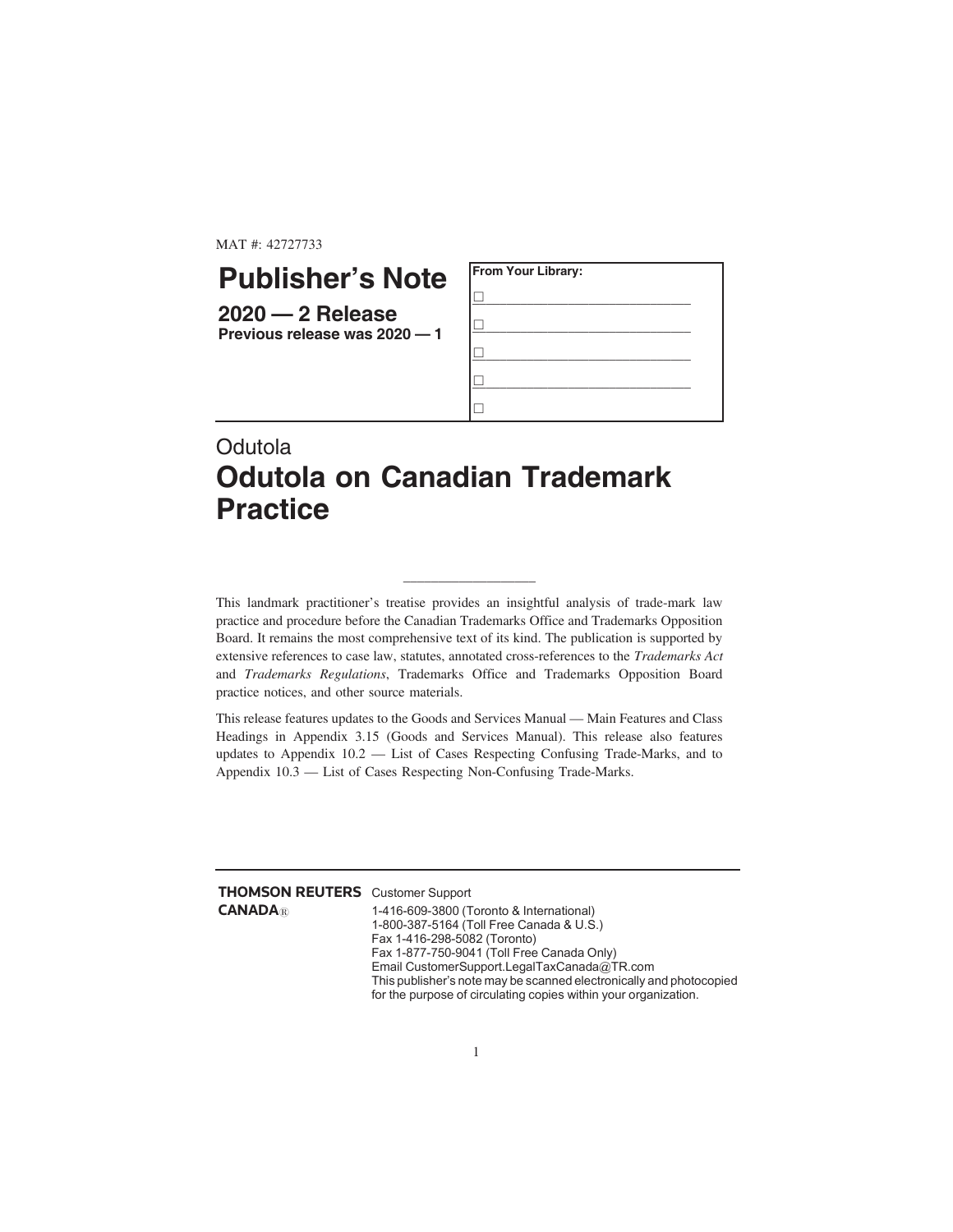MAT #: 42727733

## **Publisher's Note**

**2020 — 2 Release Previous release was 2020 — 1**



## **Odutola Odutola on Canadian Trademark Practice**

This landmark practitioner's treatise provides an insightful analysis of trade-mark law practice and procedure before the Canadian Trademarks Office and Trademarks Opposition Board. It remains the most comprehensive text of its kind. The publication is supported by extensive references to case law, statutes, annotated cross-references to the *Trademarks Act* and *Trademarks Regulations*, Trademarks Office and Trademarks Opposition Board practice notices, and other source materials.

\_\_\_\_\_\_\_\_\_\_\_\_\_\_\_\_\_\_\_

This release features updates to the Goods and Services Manual — Main Features and Class Headings in Appendix 3.15 (Goods and Services Manual). This release also features updates to Appendix 10.2 — List of Cases Respecting Confusing Trade-Marks, and to Appendix 10.3 — List of Cases Respecting Non-Confusing Trade-Marks.

| <b>THOMSON REUTERS</b> Customer Support |                                             |
|-----------------------------------------|---------------------------------------------|
| <b>CANADA</b> ®                         | 1-416-609-3800 (Toronto & International)    |
|                                         | 1-800-387-5164 (Toll Free Canada & U.S.)    |
|                                         | Fax 1-416-298-5082 (Toronto)                |
|                                         | Fax 1-877-750-9041 (Toll Free Canada Only)  |
|                                         | Email CustomerSupport.LegalTaxCanada@TR.com |
|                                         |                                             |

This publisher's note may be scanned electronically and photocopied for the purpose of circulating copies within your organization.